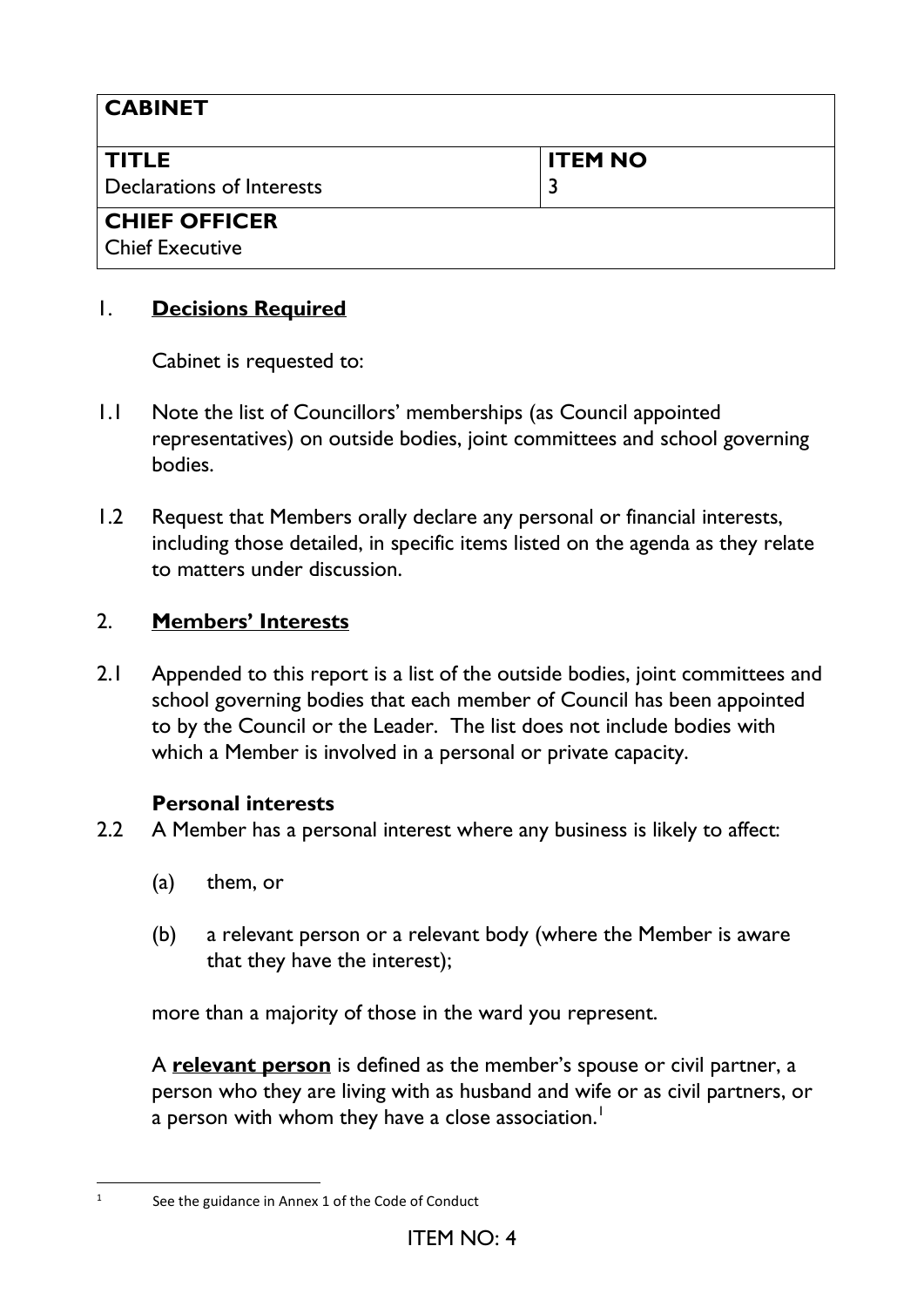| <b>CABINET</b>                            |                |
|-------------------------------------------|----------------|
| <b>TITLE</b><br>Declarations of Interests | <b>ITEM NO</b> |
| <b>CHIEF OFFICER</b>                      |                |
| <b>Chief Executive</b>                    |                |

# 1. **Decisions Required**

Cabinet is requested to:

- 1.1 Note the list of Councillors' memberships (as Council appointed representatives) on outside bodies, joint committees and school governing bodies.
- 1.2 Request that Members orally declare any personal or financial interests, including those detailed, in specific items listed on the agenda as they relate to matters under discussion.

## 2. **Members' Interests**

2.1 Appended to this report is a list of the outside bodies, joint committees and school governing bodies that each member of Council has been appointed to by the Council or the Leader. The list does not include bodies with which a Member is involved in a personal or private capacity.

## **Personal interests**

- 2.2 A Member has a personal interest where any business is likely to affect:
	- (a) them, or
	- (b) a relevant person or a relevant body (where the Member is aware that they have the interest);

more than a majority of those in the ward you represent.

A **relevant person** is defined as the member's spouse or civil partner, a person who they are living with as husband and wife or as civil partners, or a person with whom they have a close association.<sup>1</sup>

<sup>1</sup> See the guidance in Annex 1 of the Code of Conduct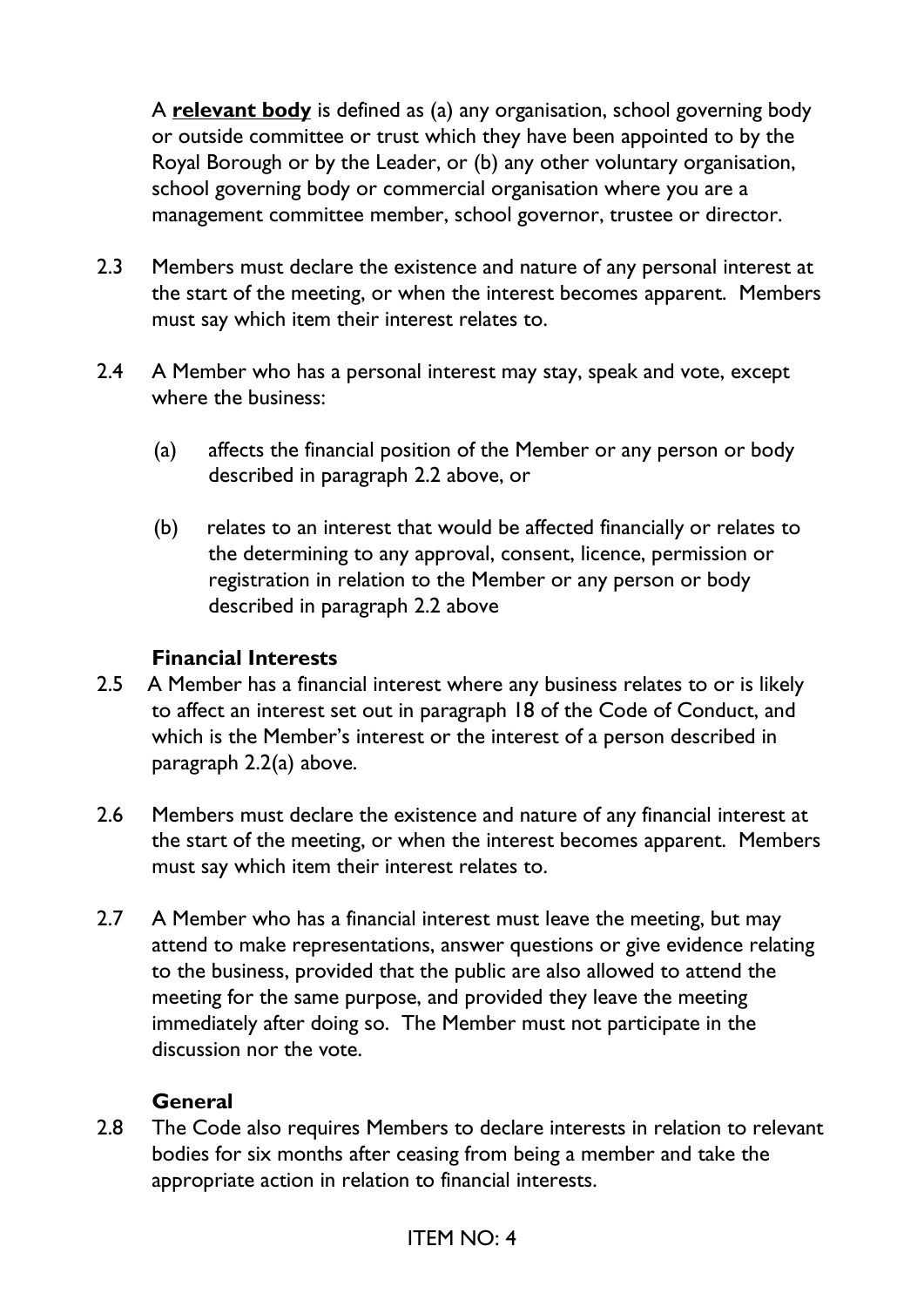A **relevant body** is defined as (a) any organisation, school governing body or outside committee or trust which they have been appointed to by the Royal Borough or by the Leader, or (b) any other voluntary organisation, school governing body or commercial organisation where you are a management committee member, school governor, trustee or director.

- 2.3 Members must declare the existence and nature of any personal interest at the start of the meeting, or when the interest becomes apparent. Members must say which item their interest relates to.
- 2.4 A Member who has a personal interest may stay, speak and vote, except where the business:
	- (a) affects the financial position of the Member or any person or body described in paragraph 2.2 above, or
	- (b) relates to an interest that would be affected financially or relates to the determining to any approval, consent, licence, permission or registration in relation to the Member or any person or body described in paragraph 2.2 above

## **Financial Interests**

- 2.5 A Member has a financial interest where any business relates to or is likely to affect an interest set out in paragraph 18 of the Code of Conduct, and which is the Member's interest or the interest of a person described in paragraph 2.2(a) above.
- 2.6 Members must declare the existence and nature of any financial interest at the start of the meeting, or when the interest becomes apparent. Members must say which item their interest relates to.
- 2.7 A Member who has a financial interest must leave the meeting, but may attend to make representations, answer questions or give evidence relating to the business, provided that the public are also allowed to attend the meeting for the same purpose, and provided they leave the meeting immediately after doing so. The Member must not participate in the discussion nor the vote.

## **General**

2.8 The Code also requires Members to declare interests in relation to relevant bodies for six months after ceasing from being a member and take the appropriate action in relation to financial interests.